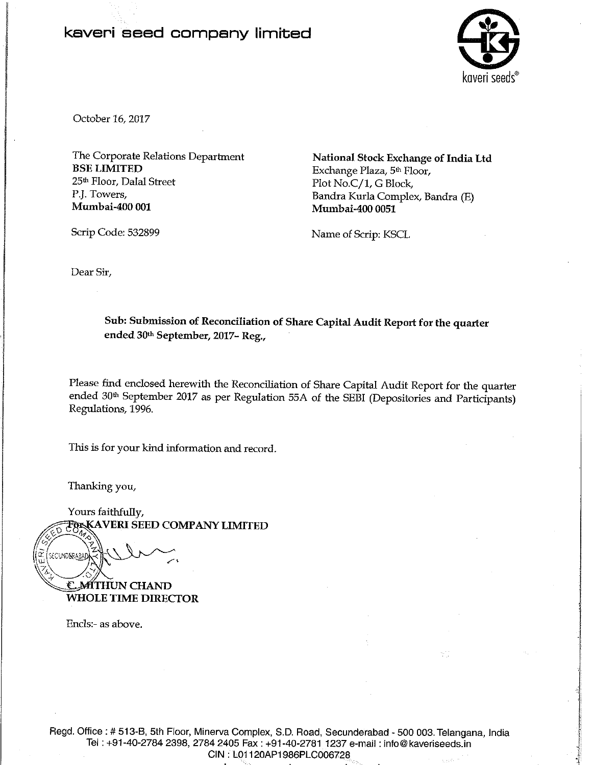## kaveri seed company limited



October 16, 2017

The Corporate Relations Department **BSE LIMITED** 25<sup>th</sup> Floor, Dalal Street P.J. Towers, Mumbai-400 001

Scrip Code: 532899

National Stock Exchange of India Ltd Exchange Plaza, 5th Floor, Plot No.C/1, G Block, Bandra Kurla Complex, Bandra (E) Mumbai-400 0051

Name of Scrip: KSCL

Dear Sir,

Sub: Submission of Reconciliation of Share Capital Audit Report for the quarter ended 30th September, 2017-Reg.,

Please find enclosed herewith the Reconciliation of Share Capital Audit Report for the quarter ended 30<sup>th</sup> September 2017 as per Regulation 55A of the SEBI (Depositories and Participants) Regulations, 1996.

This is for your kind information and record.

Thanking you,

SECUND<mark>ERABA</mark>

Yours faithfully, **FOXKAVERI SEED COMPANY LIMITED** 

C. MÍTHUN CHAND **WHOLE TIME DIRECTOR** 

Encls:- as above.

Regd. Office: # 513-B, 5th Floor, Minerva Complex, S.D. Road, Secunderabad - 500 003. Telangana, India Tel: +91-40-2784 2398, 2784 2405 Fax: +91-40-2781 1237 e-mail: info@kaveriseeds.in CIN: L01120AP1986PLC006728